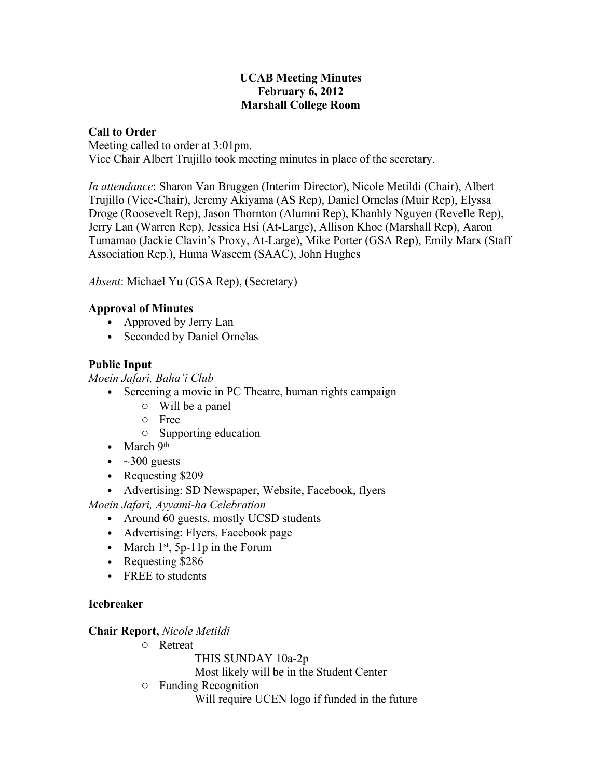#### **UCAB Meeting Minutes February 6, 2012 Marshall College Room**

### **Call to Order**

Meeting called to order at 3:01pm. Vice Chair Albert Trujillo took meeting minutes in place of the secretary.

*In attendance*: Sharon Van Bruggen (Interim Director), Nicole Metildi (Chair), Albert Trujillo (Vice-Chair), Jeremy Akiyama (AS Rep), Daniel Ornelas (Muir Rep), Elyssa Droge (Roosevelt Rep), Jason Thornton (Alumni Rep), Khanhly Nguyen (Revelle Rep), Jerry Lan (Warren Rep), Jessica Hsi (At-Large), Allison Khoe (Marshall Rep), Aaron Tumamao (Jackie Clavin's Proxy, At-Large), Mike Porter (GSA Rep), Emily Marx (Staff Association Rep.), Huma Waseem (SAAC), John Hughes

*Absent*: Michael Yu (GSA Rep), (Secretary)

# **Approval of Minutes**

- Approved by Jerry Lan
- Seconded by Daniel Ornelas

# **Public Input**

*Moein Jafari, Baha'i Club*

- Screening a movie in PC Theatre, human rights campaign
	- o Will be a panel
	- o Free
	- o Supporting education
- March 9th
- $\bullet$  ~300 guests
- Requesting \$209
- Advertising: SD Newspaper, Website, Facebook, flyers

*Moein Jafari, Ayyami-ha Celebration*

- Around 60 guests, mostly UCSD students
- Advertising: Flyers, Facebook page
- March  $1<sup>st</sup>$ , 5p-11p in the Forum
- Requesting \$286
- FREE to students

### **Icebreaker**

### **Chair Report,** *Nicole Metildi*

- o Retreat
	- THIS SUNDAY 10a-2p

Most likely will be in the Student Center

o Funding Recognition

Will require UCEN logo if funded in the future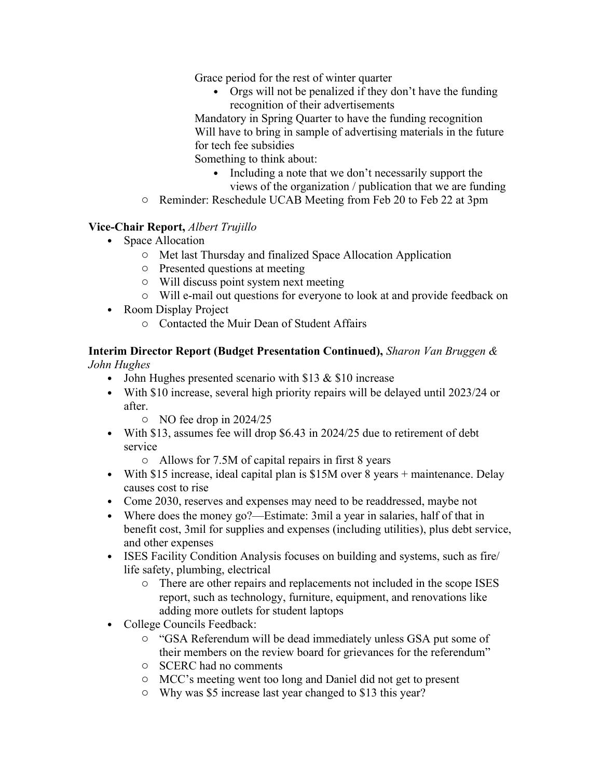Grace period for the rest of winter quarter

• Orgs will not be penalized if they don't have the funding recognition of their advertisements

Mandatory in Spring Quarter to have the funding recognition Will have to bring in sample of advertising materials in the future for tech fee subsidies

Something to think about:

- Including a note that we don't necessarily support the views of the organization / publication that we are funding
- o Reminder: Reschedule UCAB Meeting from Feb 20 to Feb 22 at 3pm

# **Vice-Chair Report,** *Albert Trujillo*

- Space Allocation
	- o Met last Thursday and finalized Space Allocation Application
	- o Presented questions at meeting
	- o Will discuss point system next meeting
	- o Will e-mail out questions for everyone to look at and provide feedback on
- Room Display Project
	- o Contacted the Muir Dean of Student Affairs

#### **Interim Director Report (Budget Presentation Continued),** *Sharon Van Bruggen & John Hughes*

- John Hughes presented scenario with \$13  $&$  \$10 increase
- With \$10 increase, several high priority repairs will be delayed until 2023/24 or after.
	- o NO fee drop in 2024/25
- With \$13, assumes fee will drop \$6.43 in 2024/25 due to retirement of debt service
	- o Allows for 7.5M of capital repairs in first 8 years
- With \$15 increase, ideal capital plan is \$15M over 8 years + maintenance. Delay causes cost to rise
- Come 2030, reserves and expenses may need to be readdressed, maybe not
- Where does the money go?—Estimate: 3mil a year in salaries, half of that in benefit cost, 3mil for supplies and expenses (including utilities), plus debt service, and other expenses
- ISES Facility Condition Analysis focuses on building and systems, such as fire life safety, plumbing, electrical
	- o There are other repairs and replacements not included in the scope ISES report, such as technology, furniture, equipment, and renovations like adding more outlets for student laptops
- College Councils Feedback:
	- o "GSA Referendum will be dead immediately unless GSA put some of their members on the review board for grievances for the referendum"
	- o SCERC had no comments
	- o MCC's meeting went too long and Daniel did not get to present
	- o Why was \$5 increase last year changed to \$13 this year?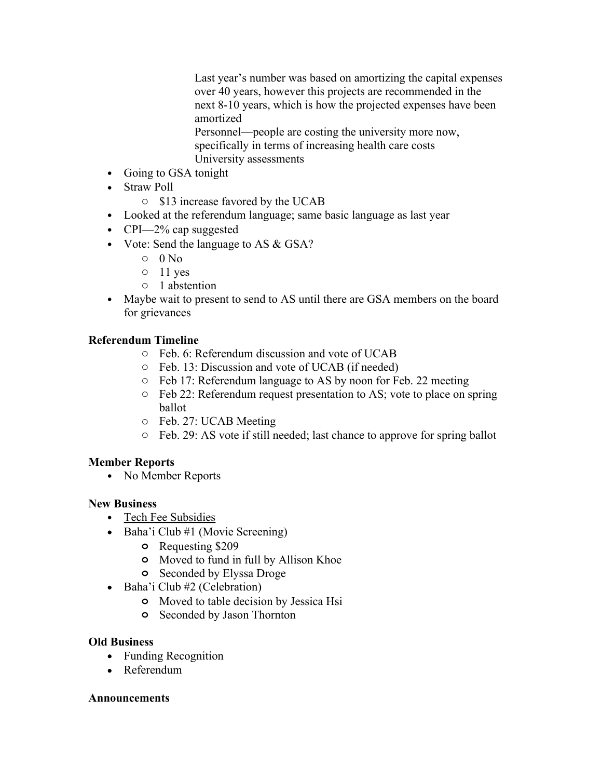Last year's number was based on amortizing the capital expenses over 40 years, however this projects are recommended in the next 8-10 years, which is how the projected expenses have been amortized

Personnel—people are costing the university more now, specifically in terms of increasing health care costs University assessments

- Going to GSA tonight
- Straw Poll
	- o \$13 increase favored by the UCAB
- Looked at the referendum language; same basic language as last year
- CPI—2% cap suggested
- Vote: Send the language to AS & GSA?
	- $\circ$  0 No
	- $\circ$  11 yes
	- o 1 abstention
- Maybe wait to present to send to AS until there are GSA members on the board for grievances

### **Referendum Timeline**

- o Feb. 6: Referendum discussion and vote of UCAB
- o Feb. 13: Discussion and vote of UCAB (if needed)
- o Feb 17: Referendum language to AS by noon for Feb. 22 meeting
- o Feb 22: Referendum request presentation to AS; vote to place on spring ballot
- o Feb. 27: UCAB Meeting
- o Feb. 29: AS vote if still needed; last chance to approve for spring ballot

### **Member Reports**

• No Member Reports

#### **New Business**

- Tech Fee Subsidies
- Baha'i Club #1 (Movie Screening)
	- **o** Requesting \$209
	- **o** Moved to fund in full by Allison Khoe
	- **o** Seconded by Elyssa Droge
- Baha'i Club  $#2$  (Celebration)
	- **o** Moved to table decision by Jessica Hsi
	- **o** Seconded by Jason Thornton

#### **Old Business**

- Funding Recognition
- Referendum

#### **Announcements**